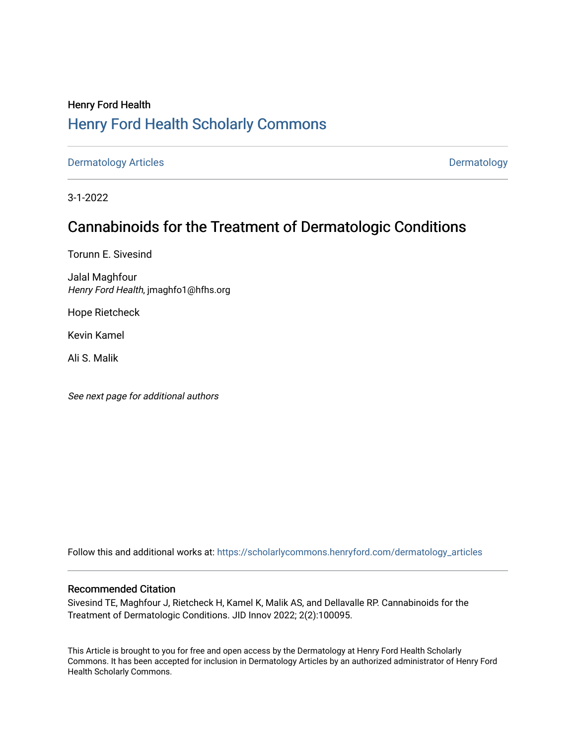# Henry Ford Health [Henry Ford Health Scholarly Commons](https://scholarlycommons.henryford.com/)

[Dermatology Articles](https://scholarlycommons.henryford.com/dermatology_articles) **Dermatology** 

3-1-2022

# Cannabinoids for the Treatment of Dermatologic Conditions

Torunn E. Sivesind

Jalal Maghfour Henry Ford Health, jmaghfo1@hfhs.org

Hope Rietcheck

Kevin Kamel

Ali S. Malik

See next page for additional authors

Follow this and additional works at: [https://scholarlycommons.henryford.com/dermatology\\_articles](https://scholarlycommons.henryford.com/dermatology_articles?utm_source=scholarlycommons.henryford.com%2Fdermatology_articles%2F664&utm_medium=PDF&utm_campaign=PDFCoverPages)

## Recommended Citation

Sivesind TE, Maghfour J, Rietcheck H, Kamel K, Malik AS, and Dellavalle RP. Cannabinoids for the Treatment of Dermatologic Conditions. JID Innov 2022; 2(2):100095.

This Article is brought to you for free and open access by the Dermatology at Henry Ford Health Scholarly Commons. It has been accepted for inclusion in Dermatology Articles by an authorized administrator of Henry Ford Health Scholarly Commons.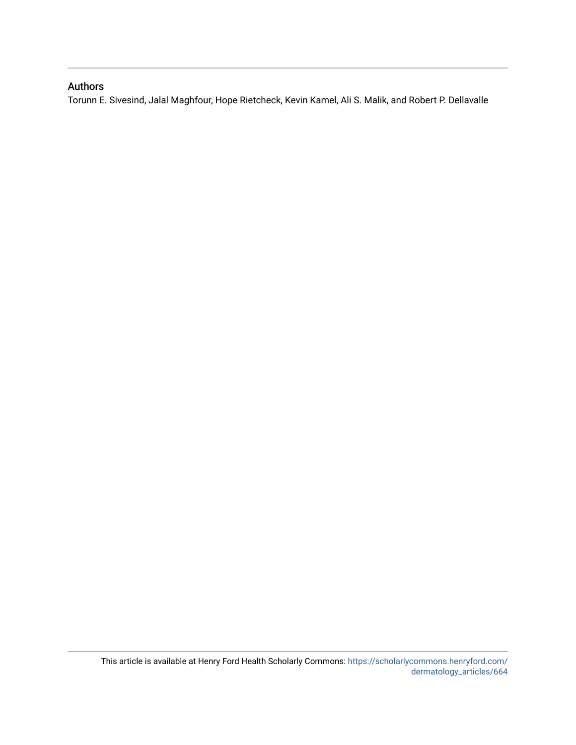# Authors

Torunn E. Sivesind, Jalal Maghfour, Hope Rietcheck, Kevin Kamel, Ali S. Malik, and Robert P. Dellavalle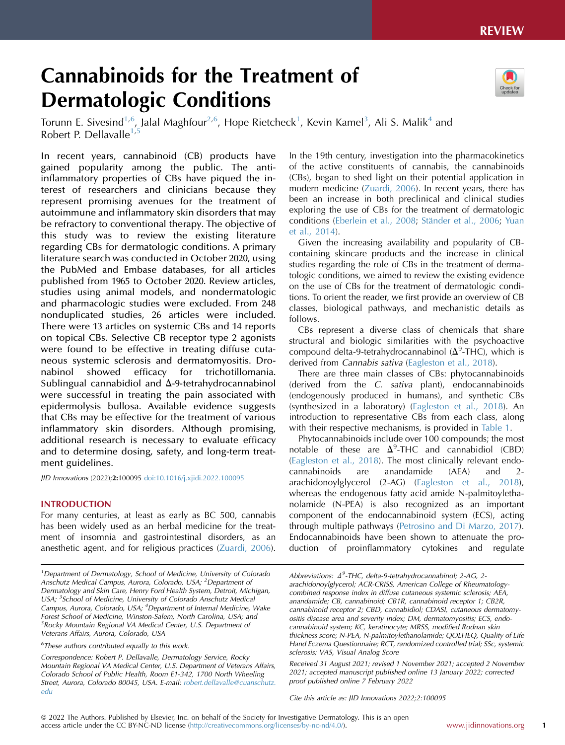# Cannabinoids for the Treatment of Dermatologic Conditions



Torunn E. Sivesind<sup>1,[6](#page-2-1)</sup>, Jalal Maghfour<sup>2[,6](#page-2-1)</sup>, Hope Rietcheck<sup>1</sup>, Kevin Kamel<sup>[3](#page-2-3)</sup>, Ali S. Malik<sup>[4](#page-2-4)</sup> and Robert P. Dellavalle $1,5$  $1,5$  $1,5$ 

In recent years, cannabinoid (CB) products have gained popularity among the public. The antiinflammatory properties of CBs have piqued the interest of researchers and clinicians because they represent promising avenues for the treatment of autoimmune and inflammatory skin disorders that may be refractory to conventional therapy. The objective of this study was to review the existing literature regarding CBs for dermatologic conditions. A primary literature search was conducted in October 2020, using the PubMed and Embase databases, for all articles published from 1965 to October 2020. Review articles, studies using animal models, and nondermatologic and pharmacologic studies were excluded. From 248 nonduplicated studies, 26 articles were included. There were 13 articles on systemic CBs and 14 reports on topical CBs. Selective CB receptor type 2 agonists were found to be effective in treating diffuse cutaneous systemic sclerosis and dermatomyositis. Dronabinol showed efficacy for trichotillomania. Sublingual cannabidiol and  $\Delta$ -9-tetrahydrocannabinol were successful in treating the pain associated with epidermolysis bullosa. Available evidence suggests that CBs may be effective for the treatment of various inflammatory skin disorders. Although promising, additional research is necessary to evaluate efficacy and to determine dosing, safety, and long-term treatment guidelines.

JID Innovations (2022);2:100095 [doi:10.1016/j.xjidi.2022.100095](https://doi.org/10.1016/j.xjidi.2022.100095)

#### INTRODUCTION

For many centuries, at least as early as BC 500, cannabis has been widely used as an herbal medicine for the treatment of insomnia and gastrointestinal disorders, as an anesthetic agent, and for religious practices ([Zuardi, 2006\)](#page-13-0).

<span id="page-2-5"></span><span id="page-2-1"></span> $6$ These authors contributed equally to this work.

Correspondence: Robert P. Dellavalle, Dermatology Service, Rocky Mountain Regional VA Medical Center, U.S. Department of Veterans Affairs, Colorado School of Public Health, Room E1-342, 1700 North Wheeling Street, Aurora, Colorado 80045, USA. E-mail: [robert.dellavalle@cuanschutz.](mailto:robert.dellavalle@cuanschutz.edu) [edu](mailto:robert.dellavalle@cuanschutz.edu)

In the 19th century, investigation into the pharmacokinetics of the active constituents of cannabis, the cannabinoids (CBs), began to shed light on their potential application in modern medicine [\(Zuardi, 2006\)](#page-13-0). In recent years, there has been an increase in both preclinical and clinical studies exploring the use of CBs for the treatment of dermatologic conditions ([Eberlein et al., 2008](#page-13-1); Ständer et al., 2006; [Yuan](#page-13-3) [et al., 2014\)](#page-13-3).

Given the increasing availability and popularity of CBcontaining skincare products and the increase in clinical studies regarding the role of CBs in the treatment of dermatologic conditions, we aimed to review the existing evidence on the use of CBs for the treatment of dermatologic conditions. To orient the reader, we first provide an overview of CB classes, biological pathways, and mechanistic details as follows.

CBs represent a diverse class of chemicals that share structural and biologic similarities with the psychoactive compound delta-9-tetrahydrocannabinol ( $\Delta^9$ -THC), which is derived from Cannabis sativa [\(Eagleston et al., 2018\)](#page-13-4).

There are three main classes of CBs: phytocannabinoids (derived from the C. sativa plant), endocannabinoids (endogenously produced in humans), and synthetic CBs (synthesized in a laboratory) ([Eagleston et al., 2018\)](#page-13-4). An introduction to representative CBs from each class, along with their respective mechanisms, is provided in [Table 1](#page-3-0).

Phytocannabinoids include over 100 compounds; the most notable of these are  $\Delta^9$ -THC and cannabidiol (CBD) ([Eagleston et al., 2018\)](#page-13-4). The most clinically relevant endocannabinoids are anandamide (AEA) and 2 arachidonoylglycerol (2-AG) [\(Eagleston et al., 2018\)](#page-13-4), whereas the endogenous fatty acid amide N-palmitoylethanolamide (N-PEA) is also recognized as an important component of the endocannabinoid system (ECS), acting through multiple pathways ([Petrosino and Di Marzo, 2017\)](#page-13-5). Endocannabinoids have been shown to attenuate the production of proinflammatory cytokines and regulate

Cite this article as: JID Innovations 2022;2:100095

<span id="page-2-4"></span><span id="page-2-3"></span><span id="page-2-2"></span><span id="page-2-0"></span><sup>&</sup>lt;sup>1</sup>Department of Dermatology, School of Medicine, University of Colorado Anschutz Medical Campus, Aurora, Colorado, USA; <sup>2</sup>Department of Dermatology and Skin Care, Henry Ford Health System, Detroit, Michigan, USA; <sup>3</sup>School of Medicine, University of Colorado Anschutz Medical Campus, Aurora, Colorado, USA; <sup>4</sup>Department of Internal Medicine, Wake Forest School of Medicine, Winston-Salem, North Carolina, USA; and <sup>5</sup> Rocky Mountain Regional VA Medical Center, U.S. Department of Veterans Affairs, Aurora, Colorado, USA

Abbreviations:  $\Delta^9$ -THC, delta-9-tetrahydrocannabinol; 2-AG, 2arachidonoylglycerol; ACR-CRISS, American College of Rheumatologycombined response index in diffuse cutaneous systemic sclerosis; AEA, anandamide; CB, cannabinoid; CB1R, cannabinoid receptor 1; CB2R, cannabinoid receptor 2; CBD, cannabidiol; CDASI, cutaneous dermatomyositis disease area and severity index; DM, dermatomyositis; ECS, endocannabinoid system; KC, keratinocyte; MRSS, modified Rodnan skin thickness score; N-PEA, N-palmitoylethanolamide; QOLHEQ, Quality of Life Hand Eczema Questionnaire; RCT, randomized controlled trial; SSc, systemic sclerosis; VAS, Visual Analog Score

Received 31 August 2021; revised 1 November 2021; accepted 2 November 2021; accepted manuscript published online 13 January 2022; corrected proof published online 7 February 2022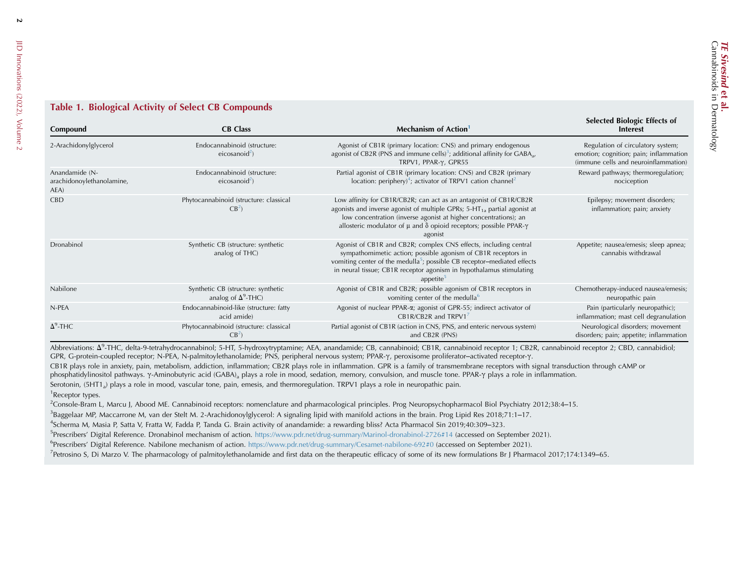## Table 1. Biological Activity of Select CB Compounds

| Compound                                            | <b>CB</b> Class                                                  | Mechanism of Action                                                                                                                                                                                                                                                                                                       | <b>Selected Biologic Effects of</b><br><b>Interest</b>                                                              |
|-----------------------------------------------------|------------------------------------------------------------------|---------------------------------------------------------------------------------------------------------------------------------------------------------------------------------------------------------------------------------------------------------------------------------------------------------------------------|---------------------------------------------------------------------------------------------------------------------|
| 2-Arachidonylglycerol                               | Endocannabinoid (structure:<br>eicosanoid <sup>2</sup> )         | Agonist of CB1R (primary location: CNS) and primary endogenous<br>agonist of CB2R (PNS and immune cells) <sup>3</sup> ; additional affinity for $GABA_{a}$ ,<br>TRPV1, PPAR-γ, GPR55                                                                                                                                      | Regulation of circulatory system;<br>emotion; cognition; pain; inflammation<br>(immune cells and neuroinflammation) |
| Anandamide (N-<br>arachidonoylethanolamine,<br>AEA) | Endocannabinoid (structure:<br>eicosanoid <sup>2</sup> )         | Partial agonist of CB1R (primary location: CNS) and CB2R (primary<br>location: periphery) <sup>4</sup> ; activator of TRPV1 cation channel <sup>2</sup>                                                                                                                                                                   | Reward pathways; thermoregulation;<br>nociception                                                                   |
| <b>CBD</b>                                          | Phytocannabinoid (structure: classical<br>$CB^2$                 | Low affinity for CB1R/CB2R; can act as an antagonist of CB1R/CB2R<br>agonists and inverse agonist of multiple GPRs; $5-HT_{1a}$ partial agonist at<br>low concentration (inverse agonist at higher concentrations); an<br>allosteric modulator of $\mu$ and $\delta$ opioid receptors; possible PPAR- $\gamma$<br>agonist | Epilepsy; movement disorders;<br>inflammation; pain; anxiety                                                        |
| Dronabinol                                          | Synthetic CB (structure: synthetic<br>analog of THC)             | Agonist of CB1R and CB2R; complex CNS effects, including central<br>sympathomimetic action; possible agonism of CB1R receptors in<br>vomiting center of the medulla <sup>5</sup> ; possible CB receptor-mediated effects<br>in neural tissue; CB1R receptor agonism in hypothalamus stimulating<br>appetite <sup>5</sup>  | Appetite; nausea/emesis; sleep apnea;<br>cannabis withdrawal                                                        |
| Nabilone                                            | Synthetic CB (structure: synthetic<br>analog of $\Delta^9$ -THC) | Agonist of CB1R and CB2R; possible agonism of CB1R receptors in<br>vomiting center of the medulla <sup>6</sup>                                                                                                                                                                                                            | Chemotherapy-induced nausea/emesis;<br>neuropathic pain                                                             |
| N-PEA                                               | Endocannabinoid-like (structure: fatty<br>acid amide)            | Agonist of nuclear PPAR-a; agonist of GPR-55; indirect activator of<br>CB1R/CB2R and TRPV17                                                                                                                                                                                                                               | Pain (particularly neuropathic);<br>inflammation; mast cell degranulation                                           |
| $\Delta^9$ -THC                                     | Phytocannabinoid (structure: classical<br>CB <sup>2</sup>        | Partial agonist of CB1R (action in CNS, PNS, and enteric nervous system)<br>and CB2R (PNS)                                                                                                                                                                                                                                | Neurological disorders; movement<br>disorders; pain; appetite; inflammation                                         |

<span id="page-3-2"></span><span id="page-3-1"></span>Abbreviations:  $\Delta^9$ -THC, delta-9-tetrahydrocannabinol; 5-HT, 5-hydroxytryptamine; AEA, anandamide; CB, cannabinoid; CB1R, cannabinoid receptor 1; CB2R, cannabinoid receptor 2; CBD, cannabidiol; GPR, G-protein-coupled receptor; N-PEA, N-palmitoylethanolamide; PNS, peripheral nervous system; PPAR- $\gamma$ , peroxisome proliferator-activated receptor- $\gamma$ .

<span id="page-3-5"></span><span id="page-3-4"></span><span id="page-3-3"></span>CB1R plays role in anxiety, pain, metabolism, addiction, inflammation; CB2R plays role in inflammation. GPR is a family of transmembrane receptors with signal transduction through cAMP or

phosphatidylinositol pathways.  $\gamma$ -Aminobutyric acid (GABA)<sub>a</sub> plays a role in mood, sedation, memory, convulsion, and muscle tone. PPAR- $\gamma$  plays a role in inflammation.

<span id="page-3-7"></span><span id="page-3-6"></span>Serotonin, (5HT1<sub>a</sub>) plays a role in mood, vascular tone, pain, emesis, and thermoregulation. TRPV1 plays a role in neuropathic pain.

<sup>1</sup>Receptor types.

<sup>2</sup>Console-Bram L, Marcu J, Abood ME. Cannabinoid receptors: nomenclature and pharmacological principles. Prog Neuropsychopharmacol Biol Psychiatry 2012;38:4-15.

<sup>3</sup>Baggelaar MP, Maccarrone M, van der Stelt M. 2-Arachidonoylglycerol: A signaling lipid with manifold actions in the brain. Prog Lipid Res 2018;71:1-17.

4Scherma M, Masia P, Satta V, Fratta W, Fadda P, Tanda G. Brain activity of anandamide: <sup>a</sup> rewarding bliss? Acta Pharmacol Sin 2019;40:309‒323.

5Prescribers' Digital Reference. Dronabinol mechanism of action. <https://www.pdr.net/drug-summary/Marinol-dronabinol-2726#14> (accessed on September 2021).

<sup>6</sup>Prescribers' Digital Reference. Nabilone mechanism of action. <https://www.pdr.net/drug-summary/Cesamet-nabilone-692#0> (accessed on September 2021).

<sup>7</sup>Petrosino S, Di Marzo V. The pharmacology of palmitoylethanolamide and first data on the therapeutic efficacy of some of its new formulations Br J Pharmacol 2017;174:1349–65.

<span id="page-3-0"></span> $\overline{2}$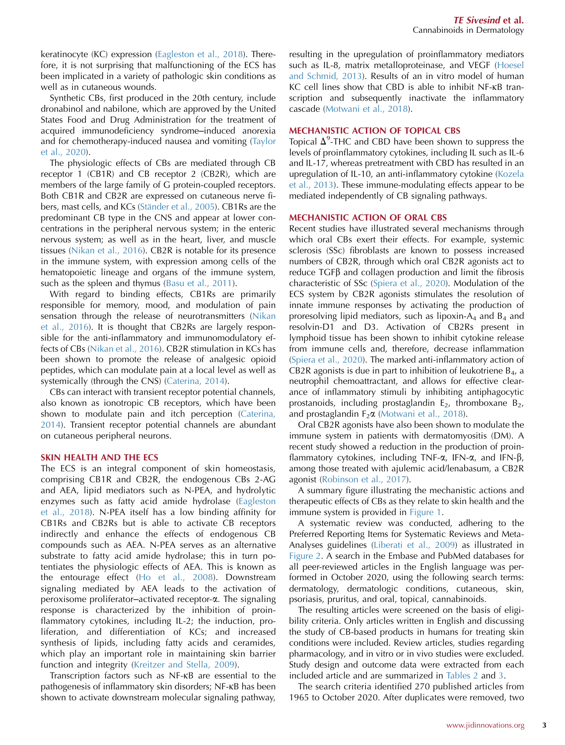keratinocyte (KC) expression ([Eagleston et al., 2018](#page-13-4)). Therefore, it is not surprising that malfunctioning of the ECS has been implicated in a variety of pathologic skin conditions as well as in cutaneous wounds.

Synthetic CBs, first produced in the 20th century, include dronabinol and nabilone, which are approved by the United States Food and Drug Administration for the treatment of acquired immunodeficiency syndrome-induced anorexia and for chemotherapy-induced nausea and vomiting [\(Taylor](#page-13-6) [et al., 2020](#page-13-6)).

The physiologic effects of CBs are mediated through CB receptor 1 (CB1R) and CB receptor 2 (CB2R), which are members of the large family of G protein-coupled receptors. Both CB1R and CB2R are expressed on cutaneous nerve fibers, mast cells, and KCs (Ständer et al., 2005). CB1Rs are the predominant CB type in the CNS and appear at lower concentrations in the peripheral nervous system; in the enteric nervous system; as well as in the heart, liver, and muscle tissues ([Nikan et al., 2016\)](#page-13-8). CB2R is notable for its presence in the immune system, with expression among cells of the hematopoietic lineage and organs of the immune system, such as the spleen and thymus ([Basu et al., 2011](#page-12-0)).

With regard to binding effects, CB1Rs are primarily responsible for memory, mood, and modulation of pain sensation through the release of neurotransmitters [\(Nikan](#page-13-8) [et al., 2016](#page-13-8)). It is thought that CB2Rs are largely responsible for the anti-inflammatory and immunomodulatory effects of CBs ([Nikan et al., 2016](#page-13-8)). CB2R stimulation in KCs has been shown to promote the release of analgesic opioid peptides, which can modulate pain at a local level as well as systemically (through the CNS) [\(Caterina, 2014](#page-12-1)).

CBs can interact with transient receptor potential channels, also known as ionotropic CB receptors, which have been shown to modulate pain and itch perception [\(Caterina,](#page-12-1) [2014\)](#page-12-1). Transient receptor potential channels are abundant on cutaneous peripheral neurons.

#### SKIN HEALTH AND THE ECS

The ECS is an integral component of skin homeostasis, comprising CB1R and CB2R, the endogenous CBs 2-AG and AEA, lipid mediators such as N-PEA, and hydrolytic enzymes such as fatty acid amide hydrolase ([Eagleston](#page-13-4) [et al., 2018](#page-13-4)). N-PEA itself has a low binding affinity for CB1Rs and CB2Rs but is able to activate CB receptors indirectly and enhance the effects of endogenous CB compounds such as AEA. N-PEA serves as an alternative substrate to fatty acid amide hydrolase; this in turn potentiates the physiologic effects of AEA. This is known as the entourage effect ([Ho et al., 2008\)](#page-13-9). Downstream signaling mediated by AEA leads to the activation of peroxisome proliferator-activated receptor- $\alpha$ . The signaling response is characterized by the inhibition of proinflammatory cytokines, including IL-2; the induction, proliferation, and differentiation of KCs; and increased synthesis of lipids, including fatty acids and ceramides, which play an important role in maintaining skin barrier function and integrity ([Kreitzer and Stella, 2009\)](#page-13-10).

Transcription factors such as NF-kB are essential to the pathogenesis of inflammatory skin disorders; NF-kB has been shown to activate downstream molecular signaling pathway, resulting in the upregulation of proinflammatory mediators such as IL-8, matrix metalloproteinase, and VEGF ([Hoesel](#page-13-11) [and Schmid, 2013\)](#page-13-11). Results of an in vitro model of human KC cell lines show that CBD is able to inhibit NF-kB transcription and subsequently inactivate the inflammatory cascade [\(Motwani et al., 2018\)](#page-13-12).

### MECHANISTIC ACTION OF TOPICAL CBS

Topical  $\Delta^9$ -THC and CBD have been shown to suppress the levels of proinflammatory cytokines, including IL such as IL-6 and IL-17, whereas pretreatment with CBD has resulted in an upregulation of IL-10, an anti-inflammatory cytokine [\(Kozela](#page-13-13) [et al., 2013\)](#page-13-13). These immune-modulating effects appear to be mediated independently of CB signaling pathways.

#### MECHANISTIC ACTION OF ORAL CBS

Recent studies have illustrated several mechanisms through which oral CBs exert their effects. For example, systemic sclerosis (SSc) fibroblasts are known to possess increased numbers of CB2R, through which oral CB2R agonists act to  $reduce TGF\beta$  and collagen production and limit the fibrosis characteristic of SSc [\(Spiera et al., 2020](#page-13-14)). Modulation of the ECS system by CB2R agonists stimulates the resolution of innate immune responses by activating the production of proresolving lipid mediators, such as lipoxin- $A_4$  and  $B_4$  and resolvin-D1 and D3. Activation of CB2Rs present in lymphoid tissue has been shown to inhibit cytokine release from immune cells and, therefore, decrease inflammation ([Spiera et al., 2020](#page-13-14)). The marked anti-inflammatory action of CB2R agonists is due in part to inhibition of leukotriene  $B_4$ , a neutrophil chemoattractant, and allows for effective clearance of inflammatory stimuli by inhibiting antiphagocytic prostanoids, including prostaglandin  $E_2$ , thromboxane  $B_2$ , and prostaglandin  $F_2\alpha$  [\(Motwani et al., 2018\)](#page-13-12).

Oral CB2R agonists have also been shown to modulate the immune system in patients with dermatomyositis (DM). A recent study showed a reduction in the production of proinflammatory cytokines, including TNF- $\alpha$ , IFN- $\alpha$ , and IFN- $\beta$ , among those treated with ajulemic acid/lenabasum, a CB2R agonist ([Robinson et al., 2017](#page-13-15)).

A summary figure illustrating the mechanistic actions and therapeutic effects of CBs as they relate to skin health and the immune system is provided in [Figure 1](#page-5-0).

A systematic review was conducted, adhering to the Preferred Reporting Items for Systematic Reviews and Meta-Analyses guidelines ([Liberati et al., 2009](#page-13-16)) as illustrated in [Figure 2](#page-6-0). A search in the Embase and PubMed databases for all peer-reviewed articles in the English language was performed in October 2020, using the following search terms: dermatology, dermatologic conditions, cutaneous, skin, psoriasis, pruritus, and oral, topical, cannabinoids.

The resulting articles were screened on the basis of eligibility criteria. Only articles written in English and discussing the study of CB-based products in humans for treating skin conditions were included. Review articles, studies regarding pharmacology, and in vitro or in vivo studies were excluded. Study design and outcome data were extracted from each included article and are summarized in [Tables 2](#page-7-0) and [3.](#page-9-0)

The search criteria identified 270 published articles from 1965 to October 2020. After duplicates were removed, two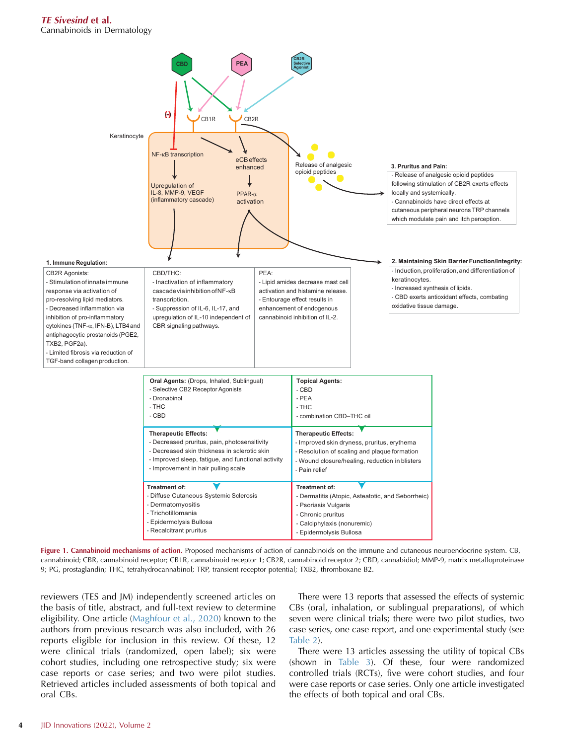<span id="page-5-0"></span>



reviewers (TES and JM) independently screened articles on the basis of title, abstract, and full-text review to determine eligibility. One article [\(Maghfour et al., 2020\)](#page-13-17) known to the authors from previous research was also included, with 26 reports eligible for inclusion in this review. Of these, 12 were clinical trials (randomized, open label); six were cohort studies, including one retrospective study; six were case reports or case series; and two were pilot studies. Retrieved articles included assessments of both topical and oral CBs.

There were 13 reports that assessed the effects of systemic CBs (oral, inhalation, or sublingual preparations), of which seven were clinical trials; there were two pilot studies, two case series, one case report, and one experimental study (see [Table 2\)](#page-7-0).

There were 13 articles assessing the utility of topical CBs (shown in [Table 3\)](#page-9-0). Of these, four were randomized controlled trials (RCTs), five were cohort studies, and four were case reports or case series. Only one article investigated the effects of both topical and oral CBs.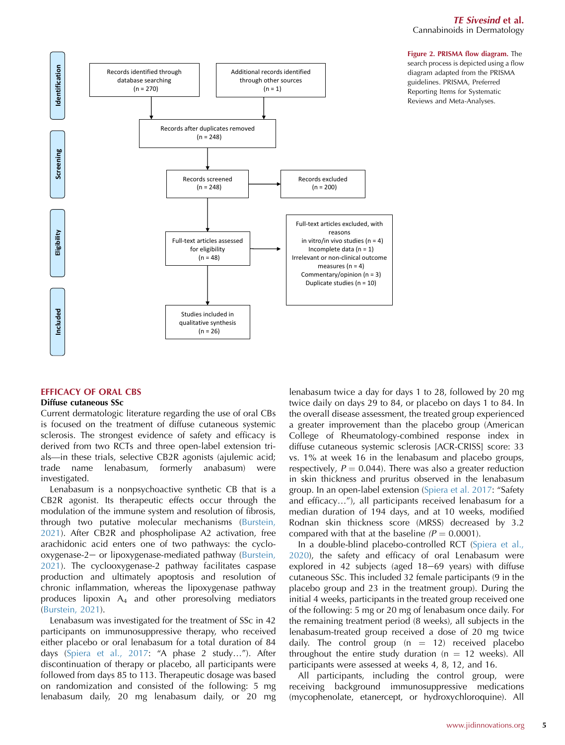## TE Sivesind et al.

Cannabinoids in Dermatology

<span id="page-6-0"></span>

#### EFFICACY OF ORAL CBS

#### Diffuse cutaneous SSc

Current dermatologic literature regarding the use of oral CBs is focused on the treatment of diffuse cutaneous systemic sclerosis. The strongest evidence of safety and efficacy is derived from two RCTs and three open-label extension trials—in these trials, selective CB2R agonists (ajulemic acid; trade name lenabasum, formerly anabasum) were investigated.

Lenabasum is a nonpsychoactive synthetic CB that is a CB2R agonist. Its therapeutic effects occur through the modulation of the immune system and resolution of fibrosis, through two putative molecular mechanisms [\(Burstein,](#page-12-2) [2021\)](#page-12-2). After CB2R and phospholipase A2 activation, free arachidonic acid enters one of two pathways: the cyclo-oxygenase-2- or lipoxygenase-mediated pathway [\(Burstein,](#page-12-2) [2021\)](#page-12-2). The cyclooxygenase-2 pathway facilitates caspase production and ultimately apoptosis and resolution of chronic inflammation, whereas the lipoxygenase pathway produces lipoxin  $A_4$  and other proresolving mediators ([Burstein, 2021](#page-12-2)).

Lenabasum was investigated for the treatment of SSc in 42 participants on immunosuppressive therapy, who received either placebo or oral lenabasum for a total duration of 84 days [\(Spiera et al., 2017](#page-13-18): "A phase 2 study..."). After discontinuation of therapy or placebo, all participants were followed from days 85 to 113. Therapeutic dosage was based on randomization and consisted of the following: 5 mg lenabasum daily, 20 mg lenabasum daily, or 20 mg lenabasum twice a day for days 1 to 28, followed by 20 mg twice daily on days 29 to 84, or placebo on days 1 to 84. In the overall disease assessment, the treated group experienced a greater improvement than the placebo group (American College of Rheumatology-combined response index in diffuse cutaneous systemic sclerosis [ACR-CRISS] score: 33 vs. 1% at week 16 in the lenabasum and placebo groups, respectively,  $P = 0.044$ ). There was also a greater reduction in skin thickness and pruritus observed in the lenabasum group. In an open-label extension [\(Spiera et al. 2017](#page-13-18): "Safety and efficacy..."), all participants received lenabasum for a median duration of 194 days, and at 10 weeks, modified Rodnan skin thickness score (MRSS) decreased by 3.2 compared with that at the baseline  $(P = 0.0001)$ .

In a double-blind placebo-controlled RCT [\(Spiera et al.,](#page-13-14) [2020\)](#page-13-14), the safety and efficacy of oral Lenabasum were explored in 42 subjects (aged  $18-69$  years) with diffuse cutaneous SSc. This included 32 female participants (9 in the placebo group and 23 in the treatment group). During the initial 4 weeks, participants in the treated group received one of the following: 5 mg or 20 mg of lenabasum once daily. For the remaining treatment period (8 weeks), all subjects in the lenabasum-treated group received a dose of 20 mg twice daily. The control group  $(n = 12)$  received placebo throughout the entire study duration ( $n = 12$  weeks). All participants were assessed at weeks 4, 8, 12, and 16.

All participants, including the control group, were receiving background immunosuppressive medications (mycophenolate, etanercept, or hydroxychloroquine). All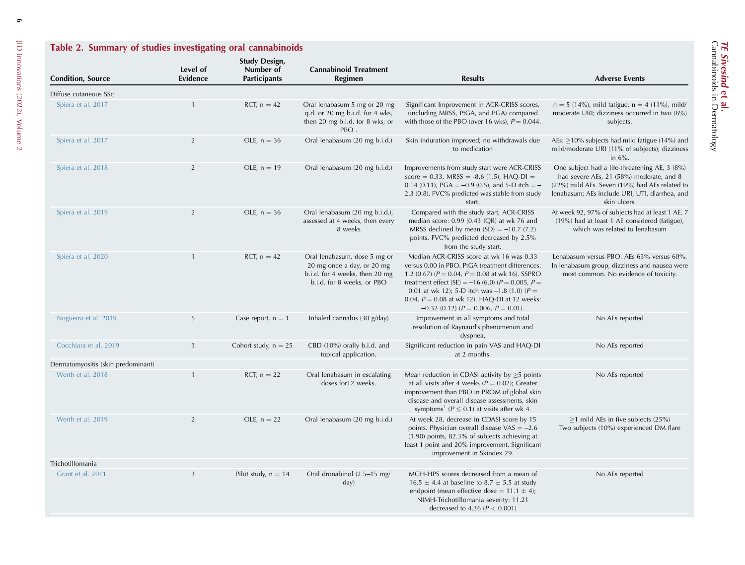<span id="page-7-0"></span>

| Table 2. Summary of studies investigating oral cannabinoids |                      |                                                          |                                                                                                                            |                                                                                                                                                                                                                                                                                                                                                                         |                                                                                                                                                                                                               |
|-------------------------------------------------------------|----------------------|----------------------------------------------------------|----------------------------------------------------------------------------------------------------------------------------|-------------------------------------------------------------------------------------------------------------------------------------------------------------------------------------------------------------------------------------------------------------------------------------------------------------------------------------------------------------------------|---------------------------------------------------------------------------------------------------------------------------------------------------------------------------------------------------------------|
| <b>Condition, Source</b>                                    | Level of<br>Evidence | <b>Study Design,</b><br>Number of<br><b>Participants</b> | <b>Cannabinoid Treatment</b><br><b>Regimen</b>                                                                             | <b>Results</b>                                                                                                                                                                                                                                                                                                                                                          | <b>Adverse Events</b>                                                                                                                                                                                         |
| Diffuse cutaneous SSc                                       |                      |                                                          |                                                                                                                            |                                                                                                                                                                                                                                                                                                                                                                         |                                                                                                                                                                                                               |
| Spiera et al. 2017                                          | $\mathbf{1}$         | RCT, $n = 42$                                            | Oral lenabasum 5 mg or 20 mg<br>q.d. or 20 mg b.i.d. for 4 wks,<br>then 20 mg b.i.d. for 8 wks; or<br>PBO.                 | Significant Improvement in ACR-CRISS scores,<br>(including MRSS, PtGA, and PGA) compared<br>with those of the PBO (over 16 wks), $P = 0.044$ .                                                                                                                                                                                                                          | $n = 5$ (14%), mild fatigue; $n = 4$ (11%), mild/<br>moderate URI; dizziness occurred in two (6%)<br>subjects.                                                                                                |
| Spiera et al. 2017                                          | $\overline{2}$       | OLE, $n = 36$                                            | Oral lenabasum (20 mg b.i.d.)                                                                                              | Skin induration improved; no withdrawals due<br>to medication                                                                                                                                                                                                                                                                                                           | AEs: $\geq$ 10% subjects had mild fatigue (14%) and<br>mild/moderate URI (11% of subjects); dizziness<br>in $6\%$ .                                                                                           |
| Spiera et al. 2018                                          | 2                    | OLE, $n = 19$                                            | Oral lenabasum (20 mg b.i.d.)                                                                                              | Improvements from study start were ACR-CRISS<br>score = $0.33$ , MRSS = $-8.6$ (1.5), HAQ-DI = $-$<br>0.14 (0.11), PGA = $-0.9$ (0.5), and 5-D itch = $-$<br>2.3 (0.8). FVC% predicted was stable from study<br>start.                                                                                                                                                  | One subject had a life-threatening AE, 3 (8%)<br>had severe AEs, 21 (58%) moderate, and 8<br>(22%) mild AEs. Seven (19%) had AEs related to<br>lenabasum; AEs include URI, UTI, diarrhea, and<br>skin ulcers. |
| Spiera et al. 2019                                          | $\overline{2}$       | OLE, $n = 36$                                            | Oral lenabasum (20 mg b.i.d.),<br>assessed at 4 weeks, then every<br>8 weeks                                               | Compared with the study start, ACR-CRISS<br>median score: 0.99 (0.43 IQR) at wk 76 and<br>MRSS declined by mean $(SD) = -10.7$ (7.2)<br>points. FVC% predicted decreased by 2.5%<br>from the study start.                                                                                                                                                               | At week 92, 97% of subjects had at least 1 AE. 7<br>(19%) had at least 1 AE considered (fatigue),<br>which was related to lenabasum                                                                           |
| Spiera et al. 2020                                          | $\mathbf{1}$         | RCT, $n = 42$                                            | Oral lenabasum, dose 5 mg or<br>20 mg once a day, or 20 mg<br>b.i.d. for 4 weeks, then 20 mg<br>b.i.d. for 8 weeks, or PBO | Median ACR-CRISS score at wk 16 was 0.33<br>versus 0.00 in PBO. PtGA treatment differences:<br>1.2 (0.67) ( $P = 0.04$ , $P = 0.08$ at wk 16). SSPRO<br>treatment effect (SE) = -16 (6.0) ( $P = 0.005$ , $P =$<br>0.01 at wk 12); 5-D itch was $-1.8$ (1.0) ( $P =$<br>0.04, $P = 0.08$ at wk 12). HAQ-DI at 12 weeks:<br>$-0.32$ (0.12) ( $P = 0.006$ , $P = 0.01$ ). | Lenabasum versus PBO: AEs 63% versus 60%.<br>In lenabasum group, dizziness and nausea were<br>most common. No evidence of toxicity.                                                                           |
| Nogueira et al. 2019                                        | 5                    | Case report, $n = 1$                                     | Inhaled cannabis (30 g/day)                                                                                                | Improvement in all symptoms and total<br>resolution of Raynaud's phenomenon and<br>dyspnea.                                                                                                                                                                                                                                                                             | No AEs reported                                                                                                                                                                                               |
| Cocchiara et al. 2019                                       | 3                    | Cohort study, $n = 25$                                   | CBD (10%) orally b.i.d. and<br>topical application.                                                                        | Significant reduction in pain VAS and HAQ-DI<br>at 2 months.                                                                                                                                                                                                                                                                                                            | No AEs reported                                                                                                                                                                                               |
| Dermatomyositis (skin predominant)                          |                      |                                                          |                                                                                                                            |                                                                                                                                                                                                                                                                                                                                                                         |                                                                                                                                                                                                               |
| Werth et al. 2018                                           | $\mathbf{1}$         | RCT, $n = 22$                                            | Oral lenabasum in escalating<br>doses for12 weeks.                                                                         | Mean reduction in CDASI activity by $\geq$ 5 points<br>at all visits after 4 weeks ( $P = 0.02$ ); Greater<br>improvement than PBO in PROM of global skin<br>disease and overall disease assessments, skin<br>symptoms <sup>1</sup> ( $P \le 0.1$ ) at visits after wk 4.                                                                                               | No AEs reported                                                                                                                                                                                               |
| Werth et al. 2019                                           | 2                    | OLE, $n = 22$                                            | Oral lenabasum (20 mg b.i.d.)                                                                                              | At week 28, decrease in CDASI score by 15<br>points. Physician overall disease $VAS = -2.6$<br>$(1.90)$ points, 82.3% of subjects achieving at<br>least 1 point and 20% improvement. Significant<br>improvement in Skindex 29.                                                                                                                                          | $\geq$ 1 mild AEs in five subjects (25%)<br>Two subjects (10%) experienced DM flare                                                                                                                           |
| Trichotillomania                                            |                      |                                                          |                                                                                                                            |                                                                                                                                                                                                                                                                                                                                                                         |                                                                                                                                                                                                               |
| Grant et al. 2011                                           | 3                    | Pilot study, $n = 14$                                    | Oral dronabinol (2.5-15 mg/<br>day)                                                                                        | MGH-HPS scores decreased from a mean of<br>$16.5 \pm 4.4$ at baseline to 8.7 $\pm$ 5.5 at study<br>endpoint (mean effective dose = $11.1 \pm 4$ );<br>NIMH-Trichotillomania severity: 11.21<br>decreased to 4.36 ( $P < 0.001$ )                                                                                                                                        | No AEs reported                                                                                                                                                                                               |

TE Sivesind

et al.

Cannabinoids in Dermatology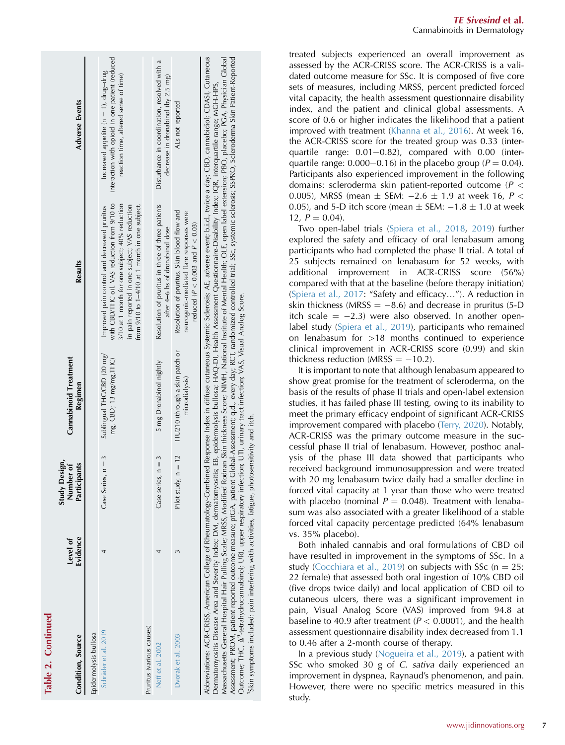| Table 2. Continued        |                      |                                                 |                                                       |                                                                                                                                                                                                                                                                                                                                                                                                                                                                                                                                                                                                                                                                                                                                                                                                                                  |                                                                                                                                       |
|---------------------------|----------------------|-------------------------------------------------|-------------------------------------------------------|----------------------------------------------------------------------------------------------------------------------------------------------------------------------------------------------------------------------------------------------------------------------------------------------------------------------------------------------------------------------------------------------------------------------------------------------------------------------------------------------------------------------------------------------------------------------------------------------------------------------------------------------------------------------------------------------------------------------------------------------------------------------------------------------------------------------------------|---------------------------------------------------------------------------------------------------------------------------------------|
| Condition, Source         | Evidence<br>Level of | Design,<br>Participants<br>Number of<br>Study 1 | <b>Cannabinoid Treatment</b><br>Regimen               | Results                                                                                                                                                                                                                                                                                                                                                                                                                                                                                                                                                                                                                                                                                                                                                                                                                          | <b>Adverse Events</b>                                                                                                                 |
| Epidermolysis bullosa     |                      |                                                 |                                                       |                                                                                                                                                                                                                                                                                                                                                                                                                                                                                                                                                                                                                                                                                                                                                                                                                                  |                                                                                                                                       |
| Schräder et al. 2019      |                      | 3<br>Case Series, n =                           | Sublingual THC/CBD (20 mg/<br>mg, CBD; 13 mg/mg, THC) | with CBD/THC oil. VAS reduction from 9/10 to<br>3/10 at 1 month for one subject; 40% reduction<br>in pain reported in one subject; VAS reduction<br>from 9/10 to 1-4/10 at 1 month in one subject.<br>Improved pain control and decreased pruritus                                                                                                                                                                                                                                                                                                                                                                                                                                                                                                                                                                               | interaction with opioid in one patient (reduced<br>Increased appetite ( $n = 1$ ), drug-drug<br>reaction time, altered sense of time) |
| Pruritus (various causes) |                      |                                                 |                                                       |                                                                                                                                                                                                                                                                                                                                                                                                                                                                                                                                                                                                                                                                                                                                                                                                                                  |                                                                                                                                       |
| Neff et al. 2002          |                      | Case series, $n = 3$                            | 5 mg Dronabinol nightly                               | Resolution of pruritus in three of three patients<br>after 4–6 hs of dronabinol dose                                                                                                                                                                                                                                                                                                                                                                                                                                                                                                                                                                                                                                                                                                                                             | Disturbance in coordination, resolved with a<br>decrease in dronabinol (by 2.5 mg)                                                    |
| Dvorak et al. 2003        |                      | Pilot study, $n = 12$                           | HU210 (through a skin patch or<br>microdialysis)      | Resolution of pruritus. Skin blood flow and<br>neurogenic-mediated flare responses were<br>reduced ( $P < 0.003$ and $P < 0.03$ )                                                                                                                                                                                                                                                                                                                                                                                                                                                                                                                                                                                                                                                                                                | AEs not reported                                                                                                                      |
|                           |                      |                                                 |                                                       | Abbreviations: ACR-CRISS, American College of Rheumatology-Combined Response Index in diffuse cutaneous Systemic Sclerosis; AE, adverse event; b.i.d., twice a day; CBD, cannabidiol; CDASI, Cutaneous<br>Massachusetts General Hospital Hair Pulling Scale; MRSS, Modified Rodnan Skin thickness Score; NIMH, National Institute of Mental Health; OLE, open label extension; PBO, placebo; PGA, Physician Global<br>Assessment; PROM, patient reported outcome measure; ptGA, patient Global-Assessment; q.d., every day; RCT, randomized controlled trial; SSc, systemic sclerosis; SSPRO, Scleroderma Skin Patient-Reported<br>Dermatomyositis Disease Area and Severity Index; DM, dermatomyositis; EB, epidermolysis bullosa; HAQ-DI, Health Assessment Questionnaire-Disability Index; IQR, interquartile range; MGH-HPS, |                                                                                                                                       |

Outcome; THC, D9-tetrahydrocannabinol; URI, upper respiratory infection; UTI, urinary tract infection; VAS, Visual Analog Score.

A<sup>9</sup>-tetrahydrocannabinol; URI, upper respiratory infection; UTI, urinary tract infection; VAS, Visual Analog Score.

1Skin symptoms included: pain interfering with activities, fatigue, photosensitivity and itch.

Skin symptoms included: pain interfering with activities, fatigue, photosensitivity and itch.

Outcome; THC,

treated subjects experienced an overall improvement as assessed by the ACR-CRISS score. The ACR-CRISS is a validated outcome measure for SSc. It is composed of five core sets of measures, including MRSS, percent predicted forced vital capacity, the health assessment questionnaire disability index, and the patient and clinical global assessments. A score of 0.6 or higher indicates the likelihood that a patient improved with treatment [\(Khanna et al., 2016](#page-13-27)). At week 16, the ACR-CRISS score for the treated group was 0.33 (interquartile range:  $0.01-0.82$ ), compared with  $0.00$  (interquartile range:  $0.000-0.16$ ) in the placebo group ( $P = 0.04$ ). Participants also experienced improvement in the following domains: scleroderma skin patient-reported outcome ( $P<\!\!\!\!\!\!/$ 0.005), MRSS (mean  $\pm$  SEM:  $-2.6 \pm 1.9$  at week 16,  $P <$ 0.05), and 5-D itch score (mean  $\pm$  SEM:  $-1.8 \pm 1.0$  at week  $12, P = 0.04$ .

<span id="page-8-0"></span>Two open-label trials [\(Spiera et al., 2018](#page-13-28) , [2019](#page-13-29)) further explored the safety and efficacy of oral lenabasum among participants who had completed the phase II trial. A total of 25 subjects remained on lenabasum for 52 weeks, with additional improvement in ACR-CRISS score (56%) compared with that at the baseline (before therapy initiation) ([Spiera et al., 2017](#page-13-18): "Safety and efficacy..."). A reduction in skin thickness (MRSS  $= -8.6$ ) and decrease in pruritus (5-D) itch scale  $= -2.3$ ) were also observed. In another openlabel study ([Spiera et al., 2019\)](#page-13-29), participants who remained on lenabasum for >18 months continued to experience clinical improvement in ACR-CRISS score (0.99) and skin thickness reduction (MRSS  $= -10.2$ ).

It is important to note that although lenabasum appeared to show great promise for the treatment of scleroderma, on the basis of the results of phase II trials and open-label extension studies, it has failed phase III testing, owing to its inability to meet the primary efficacy endpoint of significant ACR-CRISS improvement compared with placebo ([Terry, 2020](#page-13-30)). Notably, ACR-CRISS was the primary outcome measure in the successful phase II trial of lenabasum. However, posthoc analysis of the phase III data showed that participants who received background immunosuppression and were treated with 20 mg lenabasum twice daily had a smaller decline in forced vital capacity at 1 year than those who were treated with placebo (nominal  $P = 0.048$ ). Treatment with lenabasum was also associated with a greater likelihood of a stable forced vital capacity percentage predicted (64% lenabasum vs. 35% placebo).

Both inhaled cannabis and oral formulations of CBD oil have resulted in improvement in the symptoms of SSc. In a study [\(Cocchiara et al., 2019\)](#page-12-4) on subjects with SSc ( $n = 25$ ; 22 female) that assessed both oral ingestion of 10% CBD oil (five drops twice daily) and local application of CBD oil to cutaneous ulcers, there was a significant improvement in pain, Visual Analog Score (VAS) improved from 94.8 at baseline to 40.9 after treatment ( $P < 0.0001$ ), and the health assessment questionnaire disability index decreased from 1.1 to 0.46 after a 2-month course of therapy.

In a previous study [\(Nogueira et al., 2019\)](#page-13-31), a patient with SSc who smoked 30 g of C. sativa daily experienced an improvement in dyspnea, Raynaud's phenomenon, and pain. However, there were no specific metrics measured in this study.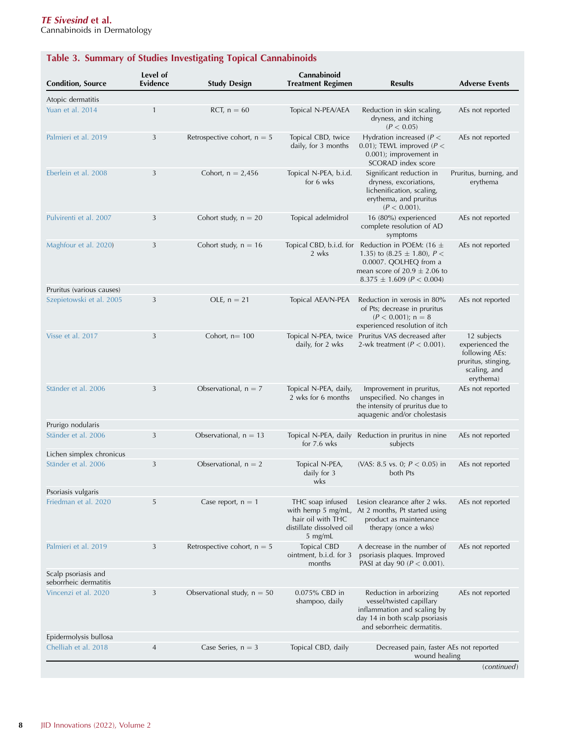# <span id="page-9-0"></span>Table 3. Summary of Studies Investigating Topical Cannabinoids

| <b>Condition, Source</b>                     | Level of<br><b>Evidence</b> | <b>Study Design</b>           | Cannabinoid<br><b>Treatment Regimen</b>                                      | <b>Results</b>                                                                                                                                                    | <b>Adverse Events</b>                                                                                |
|----------------------------------------------|-----------------------------|-------------------------------|------------------------------------------------------------------------------|-------------------------------------------------------------------------------------------------------------------------------------------------------------------|------------------------------------------------------------------------------------------------------|
| Atopic dermatitis                            |                             |                               |                                                                              |                                                                                                                                                                   |                                                                                                      |
| Yuan et al. 2014                             | $\mathbf{1}$                | RCT, $n = 60$                 | Topical N-PEA/AEA                                                            | Reduction in skin scaling,<br>dryness, and itching<br>(P < 0.05)                                                                                                  | AEs not reported                                                                                     |
| Palmieri et al. 2019                         | 3                           | Retrospective cohort, $n = 5$ | Topical CBD, twice<br>daily, for 3 months                                    | Hydration increased ( $P <$<br>0.01); TEWL improved ( $P <$<br>$0.001$ ); improvement in<br>SCORAD index score                                                    | AEs not reported                                                                                     |
| Eberlein et al. 2008                         | 3                           | Cohort, $n = 2,456$           | Topical N-PEA, b.i.d.<br>for 6 wks                                           | Significant reduction in<br>dryness, excoriations,<br>lichenification, scaling,<br>erythema, and pruritus<br>$(P < 0.001)$ .                                      | Pruritus, burning, and<br>erythema                                                                   |
| Pulvirenti et al. 2007                       | 3                           | Cohort study, $n = 20$        | Topical adelmidrol                                                           | 16 (80%) experienced<br>complete resolution of AD<br>symptoms                                                                                                     | AEs not reported                                                                                     |
| Maghfour et al. 2020)                        | 3                           | Cohort study, $n = 16$        | Topical CBD, b.i.d. for<br>2 wks                                             | Reduction in POEM: (16 $\pm$<br>1.35) to (8.25 $\pm$ 1.80), P <<br>0.0007. QOLHEQ from a<br>mean score of $20.9 \pm 2.06$ to<br>$8.375 \pm 1.609$ ( $P < 0.004$ ) | AEs not reported                                                                                     |
| Pruritus (various causes)                    |                             |                               |                                                                              |                                                                                                                                                                   |                                                                                                      |
| Szepietowski et al. 2005                     | 3                           | OLE, $n = 21$                 | Topical AEA/N-PEA                                                            | Reduction in xerosis in 80%<br>of Pts; decrease in pruritus<br>$(P < 0.001)$ ; n = 8<br>experienced resolution of itch                                            | AEs not reported                                                                                     |
| Visse et al. 2017                            | 3                           | Cohort, $n = 100$             | daily, for 2 wks                                                             | Topical N-PEA, twice Pruritus VAS decreased after<br>2-wk treatment ( $P < 0.001$ ).                                                                              | 12 subjects<br>experienced the<br>following AEs:<br>pruritus, stinging,<br>scaling, and<br>erythema) |
| Ständer et al. 2006                          | 3                           | Observational, $n = 7$        | Topical N-PEA, daily,<br>2 wks for 6 months                                  | Improvement in pruritus,<br>unspecified. No changes in<br>the intensity of pruritus due to<br>aquagenic and/or cholestasis                                        | AEs not reported                                                                                     |
| Prurigo nodularis                            |                             |                               |                                                                              |                                                                                                                                                                   |                                                                                                      |
| Ständer et al. 2006                          | 3                           | Observational, $n = 13$       | Topical N-PEA, daily<br>for $7.6$ wks                                        | Reduction in pruritus in nine<br>subjects                                                                                                                         | AEs not reported                                                                                     |
| Lichen simplex chronicus                     |                             |                               |                                                                              |                                                                                                                                                                   |                                                                                                      |
| Ständer et al. 2006                          | 3                           | Observational, $n = 2$        | Topical N-PEA,<br>daily for 3<br>wks                                         | (VAS: 8.5 vs. 0; $P < 0.05$ ) in<br>both Pts                                                                                                                      | AEs not reported                                                                                     |
| Psoriasis vulgaris                           |                             |                               |                                                                              |                                                                                                                                                                   |                                                                                                      |
| Friedman et al. 2020                         | 5                           | Case report, $n = 1$          | THC soap infused<br>hair oil with THC<br>distillate dissolved oil<br>5 mg/mL | Lesion clearance after 2 wks.<br>with hemp 5 mg/mL, At 2 months, Pt started using<br>product as maintenance<br>therapy (once a wks)                               | AEs not reported                                                                                     |
| Palmieri et al. 2019                         | 3                           | Retrospective cohort, $n = 5$ | Topical CBD<br>ointment, b.i.d. for 3<br>months                              | A decrease in the number of<br>psoriasis plaques. Improved<br>PASI at day 90 ( $P < 0.001$ ).                                                                     | AEs not reported                                                                                     |
| Scalp psoriasis and<br>seborrheic dermatitis |                             |                               |                                                                              |                                                                                                                                                                   |                                                                                                      |
| Vincenzi et al. 2020                         | 3                           | Observational study, $n = 50$ | 0.075% CBD in<br>shampoo, daily                                              | Reduction in arborizing<br>vessel/twisted capillary<br>inflammation and scaling by<br>day 14 in both scalp psoriasis<br>and seborrheic dermatitis.                | AEs not reported                                                                                     |
| Epidermolysis bullosa                        |                             |                               |                                                                              |                                                                                                                                                                   |                                                                                                      |
| Chelliah et al. 2018                         | $\overline{4}$              | Case Series, $n = 3$          | Topical CBD, daily                                                           | Decreased pain, faster AEs not reported<br>wound healing                                                                                                          |                                                                                                      |
|                                              |                             |                               |                                                                              |                                                                                                                                                                   | (continued)                                                                                          |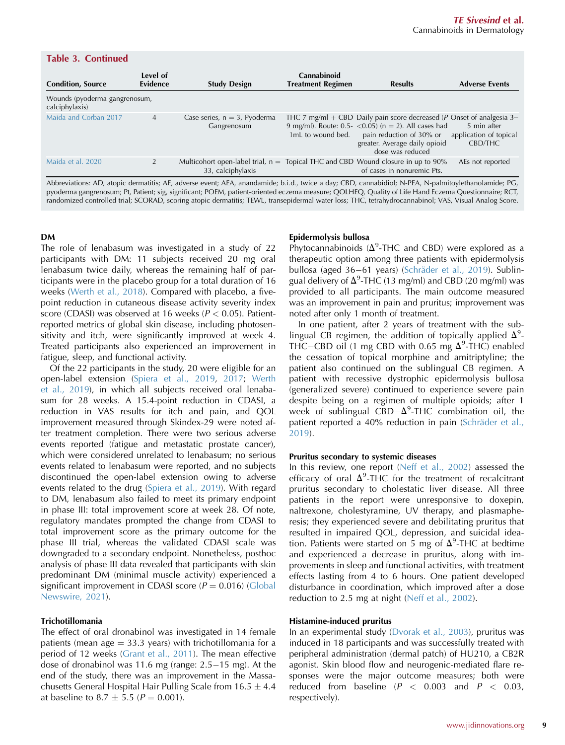| <b>Table 3. Continued</b>                                                                                                                           |                      |                                                          |                                         |                                                                                                                                                                                                                    |                                                  |  |
|-----------------------------------------------------------------------------------------------------------------------------------------------------|----------------------|----------------------------------------------------------|-----------------------------------------|--------------------------------------------------------------------------------------------------------------------------------------------------------------------------------------------------------------------|--------------------------------------------------|--|
| <b>Condition, Source</b>                                                                                                                            | Level of<br>Evidence | <b>Study Design</b>                                      | Cannabinoid<br><b>Treatment Regimen</b> | <b>Results</b>                                                                                                                                                                                                     | <b>Adverse Events</b>                            |  |
| Wounds (pyoderma gangrenosum,<br>calciphylaxis)                                                                                                     |                      |                                                          |                                         |                                                                                                                                                                                                                    |                                                  |  |
| Maida and Corban 2017                                                                                                                               | $\overline{4}$       | Case series, $n = 3$ , Pyoderma<br>Gangrenosum           | 1mL to wound bed.                       | THC 7 mg/ml + CBD Daily pain score decreased (P Onset of analgesia 3–<br>9 mg/ml). Route: 0.5- < 0.05) ( $n = 2$ ). All cases had<br>pain reduction of 30% or<br>greater. Average daily opioid<br>dose was reduced | 5 min after<br>application of topical<br>CBD/THC |  |
| Maida et al. 2020                                                                                                                                   | $\overline{2}$       | Multicohort open-label trial, $n =$<br>33, calciphylaxis |                                         | Topical THC and CBD Wound closure in up to 90%<br>of cases in nonuremic Pts.                                                                                                                                       | AEs not reported                                 |  |
| Abbreviations: AD, atonic dermatitis: AE, adverse event: AEA, anandamide: b i d, twice a day: CBD, cannabidiol: N-PEA, N-palmitovlethanolamide: PG, |                      |                                                          |                                         |                                                                                                                                                                                                                    |                                                  |  |

Abbreviations: AD, atopic dermatitis; AE, adverse event; AEA, anandamide; b.i.d., twice a day; CBD, cannabidiol; N-PEA, N-palmitoylethanolamide; PG, pyoderma gangrenosum; Pt, Patient; sig, significant; POEM, patient-oriented eczema measure; QOLHEQ, Quality of Life Hand Eczema Questionnaire; RCT, randomized controlled trial; SCORAD, scoring atopic dermatitis; TEWL, transepidermal water loss; THC, tetrahydrocannabinol; VAS, Visual Analog Score.

#### DM

The role of lenabasum was investigated in a study of 22 participants with DM: 11 subjects received 20 mg oral lenabasum twice daily, whereas the remaining half of participants were in the placebo group for a total duration of 16 weeks [\(Werth et al., 2018](#page-13-40)). Compared with placebo, a fivepoint reduction in cutaneous disease activity severity index score (CDASI) was observed at 16 weeks ( $P < 0.05$ ). Patientreported metrics of global skin disease, including photosensitivity and itch, were significantly improved at week 4. Treated participants also experienced an improvement in fatigue, sleep, and functional activity.

Of the 22 participants in the study, 20 were eligible for an open-label extension ([Spiera et al., 2019](#page-13-29), [2017](#page-13-18); [Werth](#page-13-41) [et al., 2019\)](#page-13-41), in which all subjects received oral lenabasum for 28 weeks. A 15.4-point reduction in CDASI, a reduction in VAS results for itch and pain, and QOL improvement measured through Skindex-29 were noted after treatment completion. There were two serious adverse events reported (fatigue and metastatic prostate cancer), which were considered unrelated to lenabasum; no serious events related to lenabasum were reported, and no subjects discontinued the open-label extension owing to adverse events related to the drug [\(Spiera et al., 2019](#page-13-29)). With regard to DM, lenabasum also failed to meet its primary endpoint in phase III: total improvement score at week 28. Of note, regulatory mandates prompted the change from CDASI to total improvement score as the primary outcome for the phase III trial, whereas the validated CDASI scale was downgraded to a secondary endpoint. Nonetheless, posthoc analysis of phase III data revealed that participants with skin predominant DM (minimal muscle activity) experienced a significant improvement in CDASI score ( $P = 0.016$ ) [\(Global](#page-13-42) [Newswire, 2021](#page-13-42)).

#### Trichotillomania

The effect of oral dronabinol was investigated in 14 female patients (mean age  $=$  33.3 years) with trichotillomania for a period of 12 weeks ([Grant et al., 2011](#page-13-43)). The mean effective dose of dronabinol was 11.6 mg (range:  $2.5-15$  mg). At the end of the study, there was an improvement in the Massachusetts General Hospital Hair Pulling Scale from  $16.5 \pm 4.4$ at baseline to 8.7  $\pm$  5.5 (P = 0.001).

#### Epidermolysis bullosa

Phytocannabinoids  $(\Delta^9$ -THC and CBD) were explored as a therapeutic option among three patients with epidermolysis bullosa (aged 36–61 years) (Schräder et al., 2019). Sublingual delivery of  $\Delta^9$ -THC (13 mg/ml) and CBD (20 mg/ml) was provided to all participants. The main outcome measured was an improvement in pain and pruritus; improvement was noted after only 1 month of treatment.

In one patient, after 2 years of treatment with the sublingual CB regimen, the addition of topically applied  $\Delta^9$ -THC-CBD oil (1 mg CBD with 0.65 mg  $\Delta^9$ -THC) enabled the cessation of topical morphine and amitriptyline; the patient also continued on the sublingual CB regimen. A patient with recessive dystrophic epidermolysis bullosa (generalized severe) continued to experience severe pain despite being on a regimen of multiple opioids; after 1 week of sublingual  $\text{CBD}-\Delta^9\text{-}\text{THC}$  combination oil, the patient reported a 40% reduction in pain (Schräder et al., [2019](#page-13-32)).

#### Pruritus secondary to systemic diseases

In this review, one report [\(Neff et al., 2002](#page-13-33)) assessed the efficacy of oral  $\Delta^9$ -THC for the treatment of recalcitrant pruritus secondary to cholestatic liver disease. All three patients in the report were unresponsive to doxepin, naltrexone, cholestyramine, UV therapy, and plasmapheresis; they experienced severe and debilitating pruritus that resulted in impaired QOL, depression, and suicidal ideation. Patients were started on 5 mg of  $\Delta^9$ -THC at bedtime and experienced a decrease in pruritus, along with improvements in sleep and functional activities, with treatment effects lasting from 4 to 6 hours. One patient developed disturbance in coordination, which improved after a dose reduction to 2.5 mg at night ([Neff et al., 2002\)](#page-13-33).

#### Histamine-induced pruritus

In an experimental study ([Dvorak et al., 2003\)](#page-12-5), pruritus was induced in 18 participants and was successfully treated with peripheral administration (dermal patch) of HU210, a CB2R agonist. Skin blood flow and neurogenic-mediated flare responses were the major outcome measures; both were reduced from baseline  $(P < 0.003$  and  $P < 0.03$ , respectively).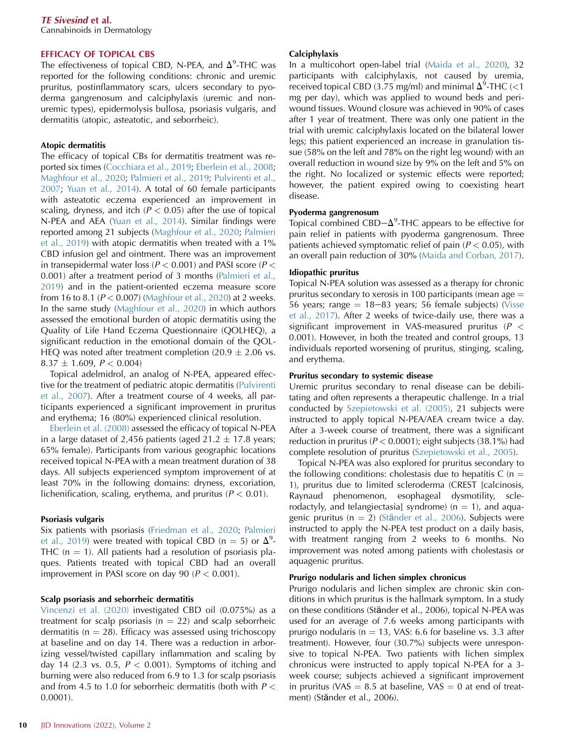#### EFFICACY OF TOPICAL CBS

The effectiveness of topical CBD, N-PEA, and  $\Delta^9$ -THC was reported for the following conditions: chronic and uremic pruritus, postinflammatory scars, ulcers secondary to pyoderma gangrenosum and calciphylaxis (uremic and nonuremic types), epidermolysis bullosa, psoriasis vulgaris, and dermatitis (atopic, asteatotic, and seborrheic).

#### Atopic dermatitis

The efficacy of topical CBs for dermatitis treatment was reported six times ([Cocchiara et al., 2019](#page-12-4); [Eberlein et al., 2008](#page-13-1); [Maghfour et al., 2020;](#page-13-17) [Palmieri et al., 2019;](#page-13-34) [Pulvirenti et al.,](#page-13-35) [2007;](#page-13-35) [Yuan et al., 2014](#page-13-3)). A total of 60 female participants with asteatotic eczema experienced an improvement in scaling, dryness, and itch ( $P < 0.05$ ) after the use of topical N-PEA and AEA ([Yuan et al., 2014\)](#page-13-3). Similar findings were reported among 21 subjects [\(Maghfour et al., 2020](#page-13-17); [Palmieri](#page-13-34) [et al., 2019\)](#page-13-34) with atopic dermatitis when treated with a 1% CBD infusion gel and ointment. There was an improvement in transepidermal water loss ( $P < 0.001$ ) and PASI score ( $P <$ 0.001) after a treatment period of 3 months ([Palmieri et al.,](#page-13-34) [2019\)](#page-13-34) and in the patient-oriented eczema measure score from 16 to 8.1 ( $P < 0.007$ ) [\(Maghfour et al., 2020](#page-13-17)) at 2 weeks. In the same study ([Maghfour et al., 2020\)](#page-13-17) in which authors assessed the emotional burden of atopic dermatitis using the Quality of Life Hand Eczema Questionnaire (QOLHEQ), a significant reduction in the emotional domain of the QOL-HEQ was noted after treatment completion (20.9  $\pm$  2.06 vs.  $8.37 \pm 1.609$ ,  $P < 0.004$ )

Topical adelmidrol, an analog of N-PEA, appeared effective for the treatment of pediatric atopic dermatitis [\(Pulvirenti](#page-13-35) [et al., 2007](#page-13-35)). After a treatment course of 4 weeks, all participants experienced a significant improvement in pruritus and erythema; 16 (80%) experienced clinical resolution.

[Eberlein et al. \(2008\)](#page-13-1) assessed the efficacy of topical N-PEA in a large dataset of 2,456 patients (aged  $21.2 \pm 17.8$  years; 65% female). Participants from various geographic locations received topical N-PEA with a mean treatment duration of 38 days. All subjects experienced symptom improvement of at least 70% in the following domains: dryness, excoriation, lichenification, scaling, erythema, and pruritus ( $P < 0.01$ ).

#### Psoriasis vulgaris

Six patients with psoriasis ([Friedman et al., 2020](#page-13-38); [Palmieri](#page-13-34) [et al., 2019](#page-13-34)) were treated with topical CBD (n = 5) or  $\Delta^9$ -THC ( $n = 1$ ). All patients had a resolution of psoriasis plaques. Patients treated with topical CBD had an overall improvement in PASI score on day 90 ( $P < 0.001$ ).

#### Scalp psoriasis and seborrheic dermatitis

[Vincenzi et al. \(2020\)](#page-13-39) investigated CBD oil (0.075%) as a treatment for scalp psoriasis ( $n = 22$ ) and scalp seborrheic dermatitis ( $n = 28$ ). Efficacy was assessed using trichoscopy at baseline and on day 14. There was a reduction in arborizing vessel/twisted capillary inflammation and scaling by day 14 (2.3 vs. 0.5,  $P < 0.001$ ). Symptoms of itching and burning were also reduced from 6.9 to 1.3 for scalp psoriasis and from 4.5 to 1.0 for seborrheic dermatitis (both with  $P <$ 0.0001).

#### Calciphylaxis

In a multicohort open-label trial ([Maida et al., 2020\)](#page-13-45), 32 participants with calciphylaxis, not caused by uremia, received topical CBD (3.75 mg/ml) and minimal  $\Delta^9$ -THC (<1 mg per day), which was applied to wound beds and periwound tissues. Wound closure was achieved in 90% of cases after 1 year of treatment. There was only one patient in the trial with uremic calciphylaxis located on the bilateral lower legs; this patient experienced an increase in granulation tissue (58% on the left and 78% on the right leg wound) with an overall reduction in wound size by 9% on the left and 5% on the right. No localized or systemic effects were reported; however, the patient expired owing to coexisting heart disease.

#### Pyoderma gangrenosum

Topical combined CBD $-\Delta^9$ -THC appears to be effective for pain relief in patients with pyoderma gangrenosum. Three patients achieved symptomatic relief of pain ( $P < 0.05$ ), with an overall pain reduction of 30% [\(Maida and Corban, 2017\)](#page-13-44).

#### Idiopathic pruritus

Topical N-PEA solution was assessed as a therapy for chronic pruritus secondary to xerosis in 100 participants (mean age  $=$ 56 years; range  $= 18-83$  years; 56 female subjects) [\(Visse](#page-13-37) [et al., 2017](#page-13-37)). After 2 weeks of twice-daily use, there was a significant improvement in VAS-measured pruritus ( $P <$ 0.001). However, in both the treated and control groups, 13 individuals reported worsening of pruritus, stinging, scaling, and erythema.

#### Pruritus secondary to systemic disease

Uremic pruritus secondary to renal disease can be debilitating and often represents a therapeutic challenge. In a trial conducted by [Szepietowski et al. \(2005\)](#page-13-36), 21 subjects were instructed to apply topical N-PEA/AEA cream twice a day. After a 3-week course of treatment, there was a significant reduction in pruritus ( $P < 0.0001$ ); eight subjects (38.1%) had complete resolution of pruritus [\(Szepietowski et al., 2005\)](#page-13-36).

Topical N-PEA was also explored for pruritus secondary to the following conditions: cholestasis due to hepatitis C  $(n =$ 1), pruritus due to limited scleroderma (CREST [calcinosis, Raynaud phenomenon, esophageal dysmotility, sclerodactyly, and telangiectasia] syndrome) ( $n = 1$ ), and aquagenic pruritus ( $n = 2$ ) (Stä[nder et al., 2006\)](#page-13-2). Subjects were instructed to apply the N-PEA test product on a daily basis, with treatment ranging from 2 weeks to 6 months. No improvement was noted among patients with cholestasis or aquagenic pruritus.

#### Prurigo nodularis and lichen simplex chronicus

Prurigo nodularis and lichen simplex are chronic skin conditions in which pruritus is the hallmark symptom. In a study on these conditions (Stӓnder et al., 2006), topical N-PEA was used for an average of 7.6 weeks among participants with prurigo nodularis ( $n = 13$ , VAS: 6.6 for baseline vs. 3.3 after treatment). However, four (30.7%) subjects were unresponsive to topical N-PEA. Two patients with lichen simplex chronicus were instructed to apply topical N-PEA for a 3 week course; subjects achieved a significant improvement in pruritus (VAS = 8.5 at baseline, VAS = 0 at end of treatment) (Stӓnder et al., 2006).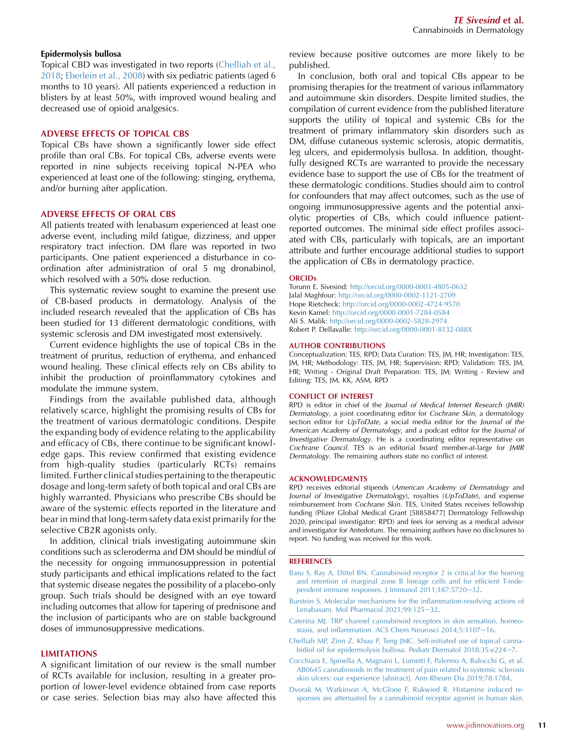#### Epidermolysis bullosa

Topical CBD was investigated in two reports ([Chelliah et al.,](#page-12-6) [2018;](#page-12-6) [Eberlein et al., 2008\)](#page-13-1) with six pediatric patients (aged 6 months to 10 years). All patients experienced a reduction in blisters by at least 50%, with improved wound healing and decreased use of opioid analgesics.

#### ADVERSE EFFECTS OF TOPICAL CBS

Topical CBs have shown a significantly lower side effect profile than oral CBs. For topical CBs, adverse events were reported in nine subjects receiving topical N-PEA who experienced at least one of the following: stinging, erythema, and/or burning after application.

#### ADVERSE EFFECTS OF ORAL CBS

All patients treated with lenabasum experienced at least one adverse event, including mild fatigue, dizziness, and upper respiratory tract infection. DM flare was reported in two participants. One patient experienced a disturbance in coordination after administration of oral 5 mg dronabinol, which resolved with a 50% dose reduction.

<span id="page-12-3"></span>This systematic review sought to examine the present use of CB-based products in dermatology. Analysis of the included research revealed that the application of CBs has been studied for 13 different dermatologic conditions, with systemic sclerosis and DM investigated most extensively.

Current evidence highlights the use of topical CBs in the treatment of pruritus, reduction of erythema, and enhanced wound healing. These clinical effects rely on CBs ability to inhibit the production of proinflammatory cytokines and modulate the immune system.

Findings from the available published data, although relatively scarce, highlight the promising results of CBs for the treatment of various dermatologic conditions. Despite the expanding body of evidence relating to the applicability and efficacy of CBs, there continue to be significant knowledge gaps. This review confirmed that existing evidence from high-quality studies (particularly RCTs) remains limited. Further clinical studies pertaining to the therapeutic dosage and long-term safety of both topical and oral CBs are highly warranted. Physicians who prescribe CBs should be aware of the systemic effects reported in the literature and bear in mind that long-term safety data exist primarily for the selective CB2R agonists only.

In addition, clinical trials investigating autoimmune skin conditions such as scleroderma and DM should be mindful of the necessity for ongoing immunosuppression in potential study participants and ethical implications related to the fact that systemic disease negates the possibility of a placebo-only group. Such trials should be designed with an eye toward including outcomes that allow for tapering of prednisone and the inclusion of participants who are on stable background doses of immunosuppressive medications.

#### LIMITATIONS

A significant limitation of our review is the small number of RCTs available for inclusion, resulting in a greater proportion of lower-level evidence obtained from case reports or case series. Selection bias may also have affected this review because positive outcomes are more likely to be published.

In conclusion, both oral and topical CBs appear to be promising therapies for the treatment of various inflammatory and autoimmune skin disorders. Despite limited studies, the compilation of current evidence from the published literature supports the utility of topical and systemic CBs for the treatment of primary inflammatory skin disorders such as DM, diffuse cutaneous systemic sclerosis, atopic dermatitis, leg ulcers, and epidermolysis bullosa. In addition, thoughtfully designed RCTs are warranted to provide the necessary evidence base to support the use of CBs for the treatment of these dermatologic conditions. Studies should aim to control for confounders that may affect outcomes, such as the use of ongoing immunosuppressive agents and the potential anxiolytic properties of CBs, which could influence patientreported outcomes. The minimal side effect profiles associated with CBs, particularly with topicals, are an important attribute and further encourage additional studies to support the application of CBs in dermatology practice.

#### **ORCIDs**

Torunn E. Sivesind: <http://orcid.org/0000-0003-4805-0632> Jalal Maghfour: <http://orcid.org/0000-0002-1121-2709> Hope Rietcheck: <http://orcid.org/0000-0002-4724-9570> Kevin Kamel: <http://orcid.org/0000-0001-7284-0584> Ali S. Malik: <http://orcid.org/0000-0002-5828-2974> Robert P. Dellavalle: <http://orcid.org/0000-0001-8132-088X>

#### AUTHOR CONTRIBUTIONS

Conceptualization: TES, RPD; Data Curation: TES, JM, HR; Investigation: TES, JM, HR; Methodology: TES, JM, HR; Supervision: RPD; Validation: TES, JM, HR; Writing - Original Draft Preparation: TES, JM; Writing - Review and Editing: TES, JM, KK, ASM, RPD

#### CONFLICT OF INTEREST

RPD is editor in chief of the Journal of Medical Internet Research (JMIR) Dermatology, a joint coordinating editor for Cochrane Skin, a dermatology section editor for UpToDate, a social media editor for the Journal of the American Academy of Dermatology, and a podcast editor for the Journal of Investigative Dermatology. He is a coordinating editor representative on Cochrane Council. TES is an editorial board member-at-large for JMIR Dermatology. The remaining authors state no conflict of interest.

#### ACKNOWLEDGMENTS

RPD receives editorial stipends (American Academy of Dermatology and Journal of Investigative Dermatology), royalties (UpToDate), and expense reimbursement from Cochrane Skin. TES, United States receives fellowship funding (Pfizer Global Medical Grant [58858477] Dermatology Fellowship 2020, principal investigator: RPD) and fees for serving as a medical advisor and investigator for Antedotum. The remaining authors have no disclosures to report. No funding was received for this work.

#### <span id="page-12-0"></span>**REFERENCES**

- <span id="page-12-2"></span>[Basu S, Ray A, Dittel BN. Cannabinoid receptor 2 is critical for the homing](http://refhub.elsevier.com/S2667-0267(22)00001-7/sref1) [and retention of marginal zone B lineage cells and for efficient T-inde](http://refhub.elsevier.com/S2667-0267(22)00001-7/sref1)[pendent immune responses. J Immunol 2011;187:5720](http://refhub.elsevier.com/S2667-0267(22)00001-7/sref1)-[32.](http://refhub.elsevier.com/S2667-0267(22)00001-7/sref1)
- <span id="page-12-1"></span>[Burstein S. Molecular mechanisms for the inflammation-resolving actions of](http://refhub.elsevier.com/S2667-0267(22)00001-7/sref2) [Lenabasum. Mol Pharmacol 2021;99:125](http://refhub.elsevier.com/S2667-0267(22)00001-7/sref2)-[32](http://refhub.elsevier.com/S2667-0267(22)00001-7/sref2).
- <span id="page-12-6"></span>[Caterina MJ. TRP channel cannabinoid receptors in skin sensation, homeo](http://refhub.elsevier.com/S2667-0267(22)00001-7/sref3)[stasis, and inflammation. ACS Chem Neurosci 2014;5:1107](http://refhub.elsevier.com/S2667-0267(22)00001-7/sref3)-[16](http://refhub.elsevier.com/S2667-0267(22)00001-7/sref3).
- <span id="page-12-4"></span>[Chelliah MP, Zinn Z, Khuu P, Teng JMC. Self-initiated use of topical canna](http://refhub.elsevier.com/S2667-0267(22)00001-7/sref4)[bidiol oil for epidermolysis bullosa. Pediatr Dermatol 2018;35:e224](http://refhub.elsevier.com/S2667-0267(22)00001-7/sref4)-[7](http://refhub.elsevier.com/S2667-0267(22)00001-7/sref4).
- <span id="page-12-5"></span>[Cocchiara E, Spinella A, Magnani L, Lumetti F, Palermo A, Balocchi G, et al.](http://refhub.elsevier.com/S2667-0267(22)00001-7/sref5) [AB0645 cannabinoids in the treatment of pain related to systemic sclerosis](http://refhub.elsevier.com/S2667-0267(22)00001-7/sref5) [skin ulcers: our experience \[abstract\]. Ann Rheum Dis 2019;78:1784](http://refhub.elsevier.com/S2667-0267(22)00001-7/sref5).
- [Dvorak M, Watkinson A, McGlone F, Rukwied R. Histamine induced re](http://refhub.elsevier.com/S2667-0267(22)00001-7/sref6)[sponses are attenuated by a cannabinoid receptor agonist in human skin.](http://refhub.elsevier.com/S2667-0267(22)00001-7/sref6)